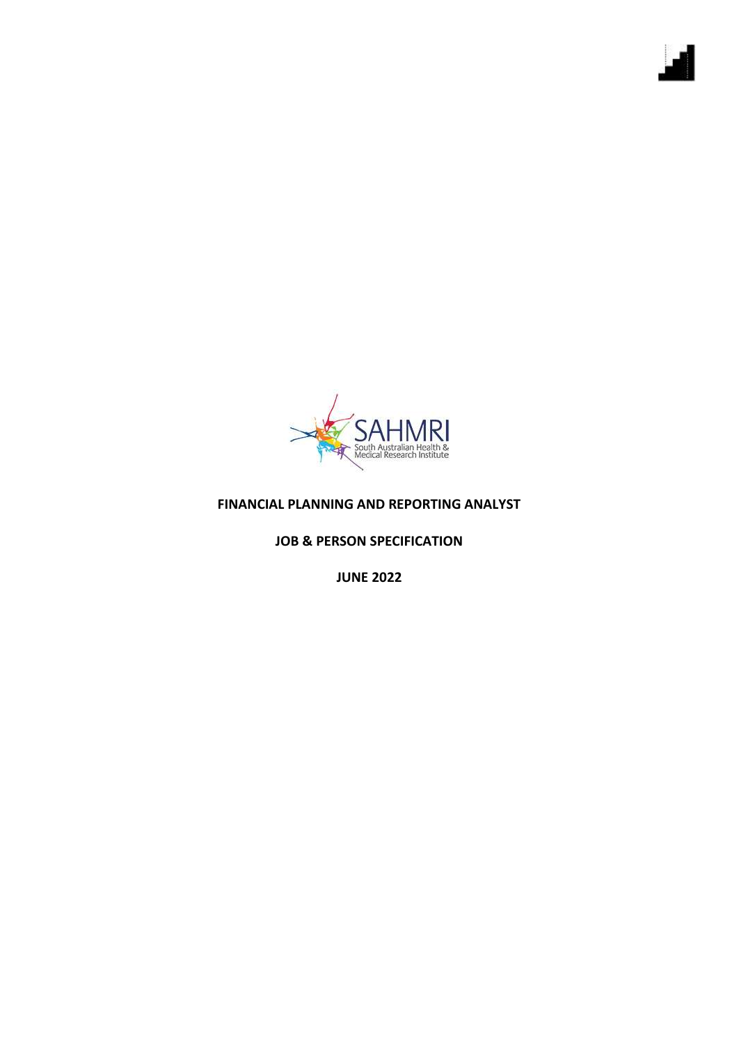

## **FINANCIAL PLANNING AND REPORTING ANALYST**

**JOB & PERSON SPECIFICATION**

**JUNE 2022**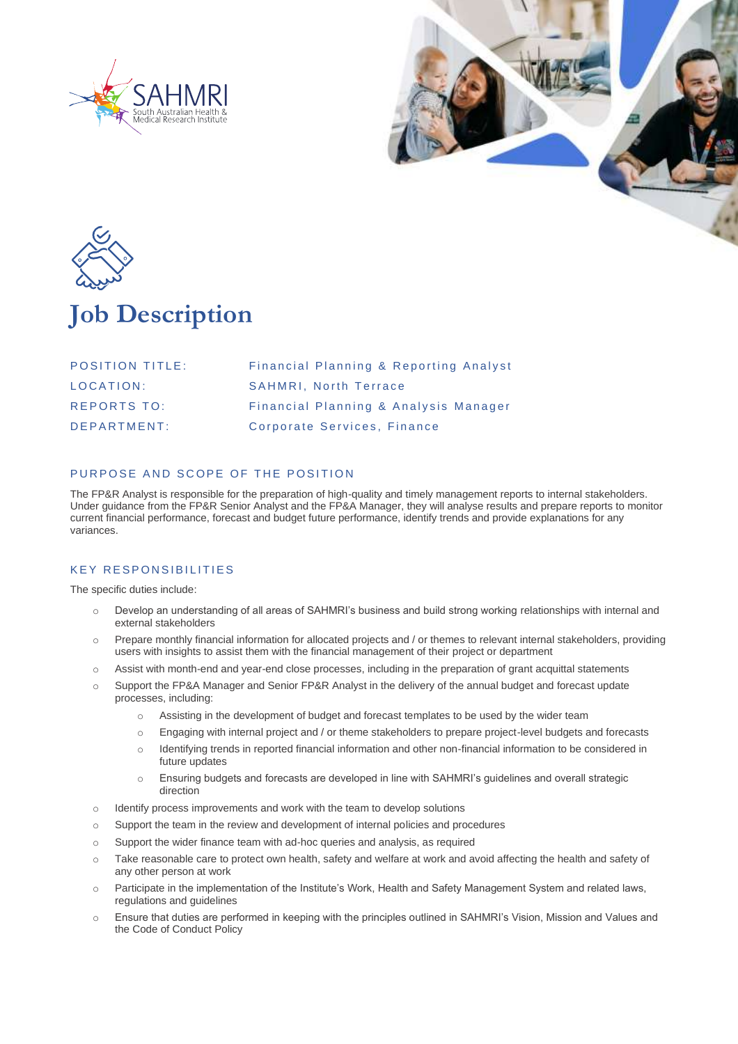





# **Job Description**

| <b>POSITION TITLE:</b> | Financial Planning & Reporting Analyst |
|------------------------|----------------------------------------|
| LOCATION:              | <b>SAHMRI.</b> North Terrace           |
| <b>REPORTS TO:</b>     | Financial Planning & Analysis Manager  |
| DFPARTMENT:            | Corporate Services, Finance            |

### PURPOSE AND SCOPE OF THE POSITION

The FP&R Analyst is responsible for the preparation of high-quality and timely management reports to internal stakeholders. Under guidance from the FP&R Senior Analyst and the FP&A Manager, they will analyse results and prepare reports to monitor current financial performance, forecast and budget future performance, identify trends and provide explanations for any variances.

### **KEY RESPONSIBILITIES**

The specific duties include:

- o Develop an understanding of all areas of SAHMRI's business and build strong working relationships with internal and external stakeholders
- o Prepare monthly financial information for allocated projects and / or themes to relevant internal stakeholders, providing users with insights to assist them with the financial management of their project or department
- o Assist with month-end and year-end close processes, including in the preparation of grant acquittal statements
- o Support the FP&A Manager and Senior FP&R Analyst in the delivery of the annual budget and forecast update processes, including:
	- o Assisting in the development of budget and forecast templates to be used by the wider team
	- o Engaging with internal project and / or theme stakeholders to prepare project-level budgets and forecasts
	- o Identifying trends in reported financial information and other non-financial information to be considered in future updates
	- o Ensuring budgets and forecasts are developed in line with SAHMRI's guidelines and overall strategic direction
- o Identify process improvements and work with the team to develop solutions
- o Support the team in the review and development of internal policies and procedures
- o Support the wider finance team with ad-hoc queries and analysis, as required
- o Take reasonable care to protect own health, safety and welfare at work and avoid affecting the health and safety of any other person at work
- o Participate in the implementation of the Institute's Work, Health and Safety Management System and related laws, regulations and guidelines
- o Ensure that duties are performed in keeping with the principles outlined in SAHMRI's Vision, Mission and Values and the Code of Conduct Policy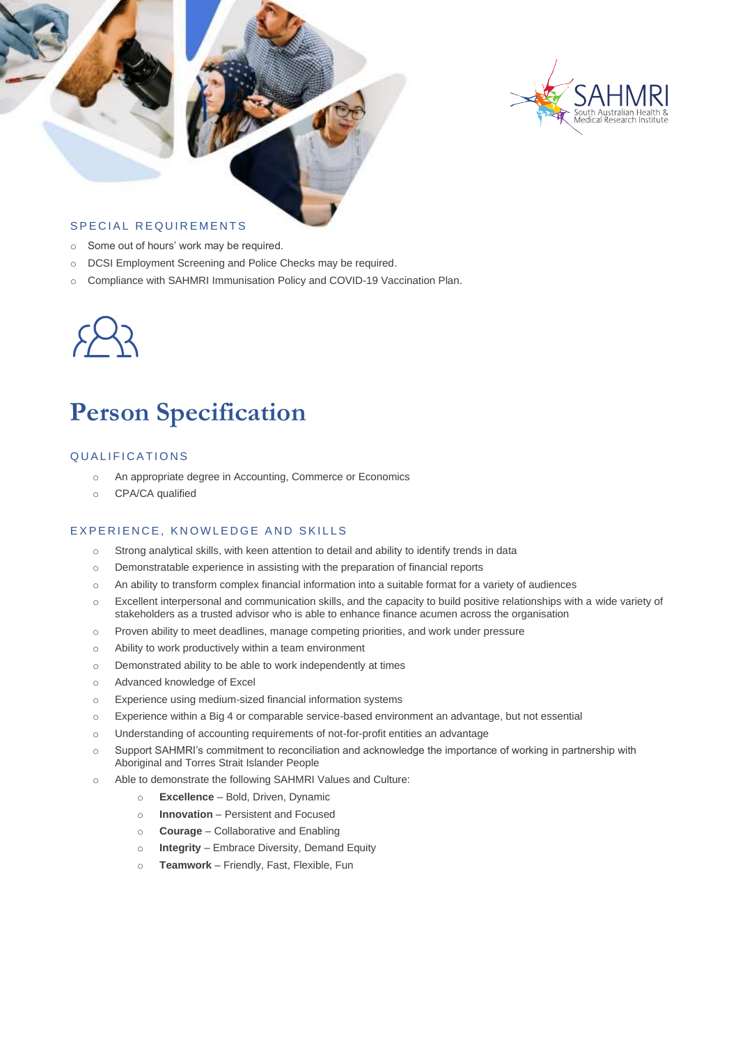



### SPECIAL REQUIREMENTS

- o Some out of hours' work may be required.
- o DCSI Employment Screening and Police Checks may be required.
- o Compliance with SAHMRI Immunisation Policy and COVID-19 Vaccination Plan.



# **Person Specification**

#### QUALIFICATIONS

- o An appropriate degree in Accounting, Commerce or Economics
- o CPA/CA qualified

#### EXPERIENCE, KNOWLEDGE AND SKILLS

- $\circ$  Strong analytical skills, with keen attention to detail and ability to identify trends in data
- o Demonstratable experience in assisting with the preparation of financial reports
- o An ability to transform complex financial information into a suitable format for a variety of audiences
- o Excellent interpersonal and communication skills, and the capacity to build positive relationships with a wide variety of stakeholders as a trusted advisor who is able to enhance finance acumen across the organisation
- o Proven ability to meet deadlines, manage competing priorities, and work under pressure
- o Ability to work productively within a team environment
- o Demonstrated ability to be able to work independently at times
- o Advanced knowledge of Excel
- o Experience using medium-sized financial information systems
- o Experience within a Big 4 or comparable service-based environment an advantage, but not essential
- o Understanding of accounting requirements of not-for-profit entities an advantage
- o Support SAHMRI's commitment to reconciliation and acknowledge the importance of working in partnership with Aboriginal and Torres Strait Islander People
- o Able to demonstrate the following SAHMRI Values and Culture:
	- o **Excellence**  Bold, Driven, Dynamic
	- o **Innovation** Persistent and Focused
	- o **Courage** Collaborative and Enabling
	- o **Integrity** Embrace Diversity, Demand Equity
	- o **Teamwork** Friendly, Fast, Flexible, Fun